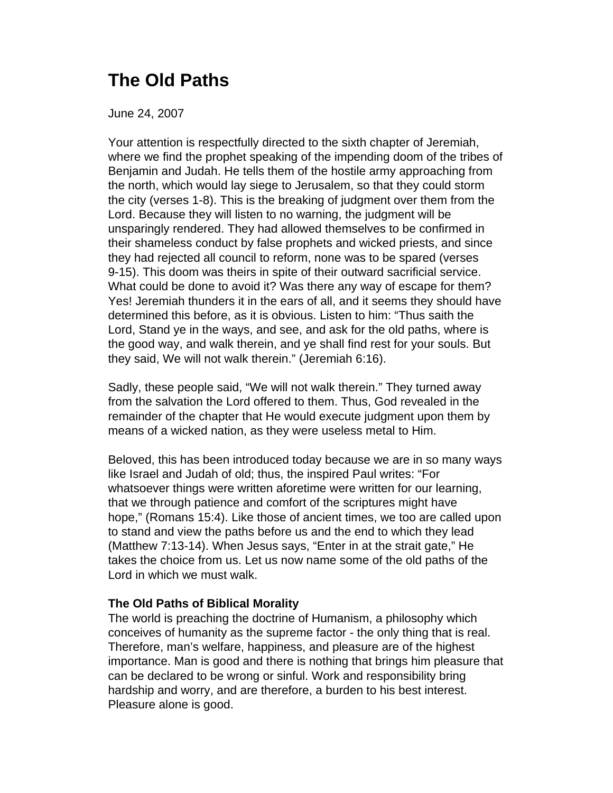## **The Old Paths**

June 24, 2007

Your attention is respectfully directed to the sixth chapter of Jeremiah, where we find the prophet speaking of the impending doom of the tribes of Benjamin and Judah. He tells them of the hostile army approaching from the north, which would lay siege to Jerusalem, so that they could storm the city (verses 1-8). This is the breaking of judgment over them from the Lord. Because they will listen to no warning, the judgment will be unsparingly rendered. They had allowed themselves to be confirmed in their shameless conduct by false prophets and wicked priests, and since they had rejected all council to reform, none was to be spared (verses 9-15). This doom was theirs in spite of their outward sacrificial service. What could be done to avoid it? Was there any way of escape for them? Yes! Jeremiah thunders it in the ears of all, and it seems they should have determined this before, as it is obvious. Listen to him: "Thus saith the Lord, Stand ye in the ways, and see, and ask for the old paths, where is the good way, and walk therein, and ye shall find rest for your souls. But they said, We will not walk therein." (Jeremiah 6:16).

Sadly, these people said, "We will not walk therein." They turned away from the salvation the Lord offered to them. Thus, God revealed in the remainder of the chapter that He would execute judgment upon them by means of a wicked nation, as they were useless metal to Him.

Beloved, this has been introduced today because we are in so many ways like Israel and Judah of old; thus, the inspired Paul writes: "For whatsoever things were written aforetime were written for our learning, that we through patience and comfort of the scriptures might have hope," (Romans 15:4). Like those of ancient times, we too are called upon to stand and view the paths before us and the end to which they lead (Matthew 7:13-14). When Jesus says, "Enter in at the strait gate," He takes the choice from us. Let us now name some of the old paths of the Lord in which we must walk.

## **The Old Paths of Biblical Morality**

The world is preaching the doctrine of Humanism, a philosophy which conceives of humanity as the supreme factor - the only thing that is real. Therefore, man's welfare, happiness, and pleasure are of the highest importance. Man is good and there is nothing that brings him pleasure that can be declared to be wrong or sinful. Work and responsibility bring hardship and worry, and are therefore, a burden to his best interest. Pleasure alone is good.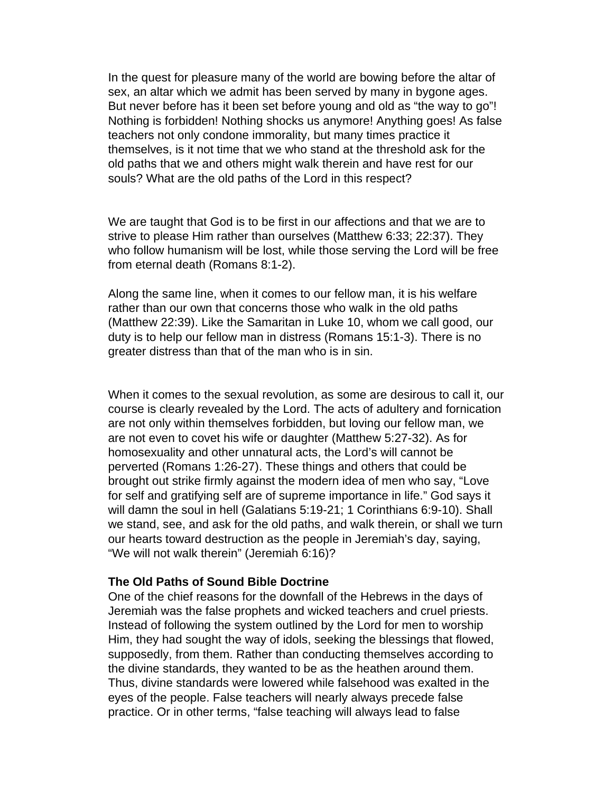In the quest for pleasure many of the world are bowing before the altar of sex, an altar which we admit has been served by many in bygone ages. But never before has it been set before young and old as "the way to go"! Nothing is forbidden! Nothing shocks us anymore! Anything goes! As false teachers not only condone immorality, but many times practice it themselves, is it not time that we who stand at the threshold ask for the old paths that we and others might walk therein and have rest for our souls? What are the old paths of the Lord in this respect?

We are taught that God is to be first in our affections and that we are to strive to please Him rather than ourselves (Matthew 6:33; 22:37). They who follow humanism will be lost, while those serving the Lord will be free from eternal death (Romans 8:1-2).

Along the same line, when it comes to our fellow man, it is his welfare rather than our own that concerns those who walk in the old paths (Matthew 22:39). Like the Samaritan in Luke 10, whom we call good, our duty is to help our fellow man in distress (Romans 15:1-3). There is no greater distress than that of the man who is in sin.

When it comes to the sexual revolution, as some are desirous to call it, our course is clearly revealed by the Lord. The acts of adultery and fornication are not only within themselves forbidden, but loving our fellow man, we are not even to covet his wife or daughter (Matthew 5:27-32). As for homosexuality and other unnatural acts, the Lord's will cannot be perverted (Romans 1:26-27). These things and others that could be brought out strike firmly against the modern idea of men who say, "Love for self and gratifying self are of supreme importance in life." God says it will damn the soul in hell (Galatians 5:19-21; 1 Corinthians 6:9-10). Shall we stand, see, and ask for the old paths, and walk therein, or shall we turn our hearts toward destruction as the people in Jeremiah's day, saying, "We will not walk therein" (Jeremiah 6:16)?

## **The Old Paths of Sound Bible Doctrine**

One of the chief reasons for the downfall of the Hebrews in the days of Jeremiah was the false prophets and wicked teachers and cruel priests. Instead of following the system outlined by the Lord for men to worship Him, they had sought the way of idols, seeking the blessings that flowed, supposedly, from them. Rather than conducting themselves according to the divine standards, they wanted to be as the heathen around them. Thus, divine standards were lowered while falsehood was exalted in the eyes of the people. False teachers will nearly always precede false practice. Or in other terms, "false teaching will always lead to false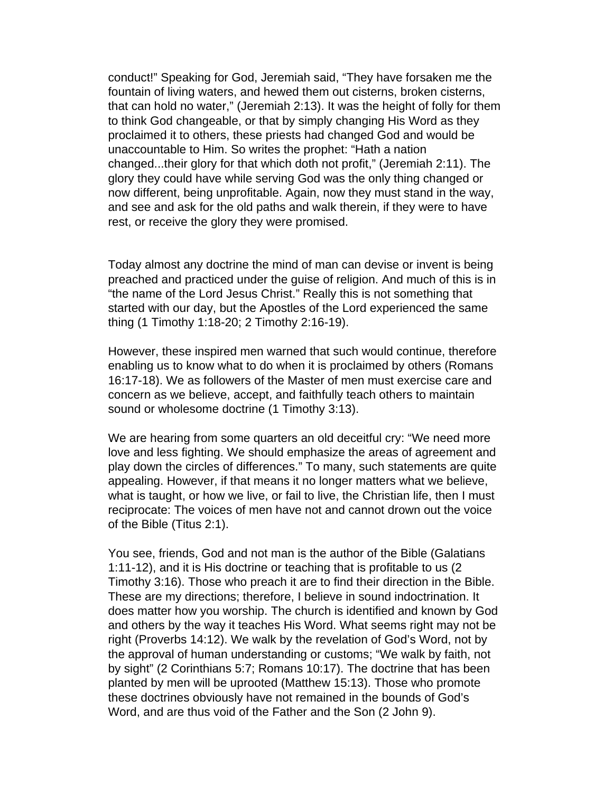conduct!" Speaking for God, Jeremiah said, "They have forsaken me the fountain of living waters, and hewed them out cisterns, broken cisterns, that can hold no water," (Jeremiah 2:13). It was the height of folly for them to think God changeable, or that by simply changing His Word as they proclaimed it to others, these priests had changed God and would be unaccountable to Him. So writes the prophet: "Hath a nation changed...their glory for that which doth not profit," (Jeremiah 2:11). The glory they could have while serving God was the only thing changed or now different, being unprofitable. Again, now they must stand in the way, and see and ask for the old paths and walk therein, if they were to have rest, or receive the glory they were promised.

Today almost any doctrine the mind of man can devise or invent is being preached and practiced under the guise of religion. And much of this is in "the name of the Lord Jesus Christ." Really this is not something that started with our day, but the Apostles of the Lord experienced the same thing (1 Timothy 1:18-20; 2 Timothy 2:16-19).

However, these inspired men warned that such would continue, therefore enabling us to know what to do when it is proclaimed by others (Romans 16:17-18). We as followers of the Master of men must exercise care and concern as we believe, accept, and faithfully teach others to maintain sound or wholesome doctrine (1 Timothy 3:13).

We are hearing from some quarters an old deceitful cry: "We need more love and less fighting. We should emphasize the areas of agreement and play down the circles of differences." To many, such statements are quite appealing. However, if that means it no longer matters what we believe, what is taught, or how we live, or fail to live, the Christian life, then I must reciprocate: The voices of men have not and cannot drown out the voice of the Bible (Titus 2:1).

You see, friends, God and not man is the author of the Bible (Galatians 1:11-12), and it is His doctrine or teaching that is profitable to us (2 Timothy 3:16). Those who preach it are to find their direction in the Bible. These are my directions; therefore, I believe in sound indoctrination. It does matter how you worship. The church is identified and known by God and others by the way it teaches His Word. What seems right may not be right (Proverbs 14:12). We walk by the revelation of God's Word, not by the approval of human understanding or customs; "We walk by faith, not by sight" (2 Corinthians 5:7; Romans 10:17). The doctrine that has been planted by men will be uprooted (Matthew 15:13). Those who promote these doctrines obviously have not remained in the bounds of God's Word, and are thus void of the Father and the Son (2 John 9).